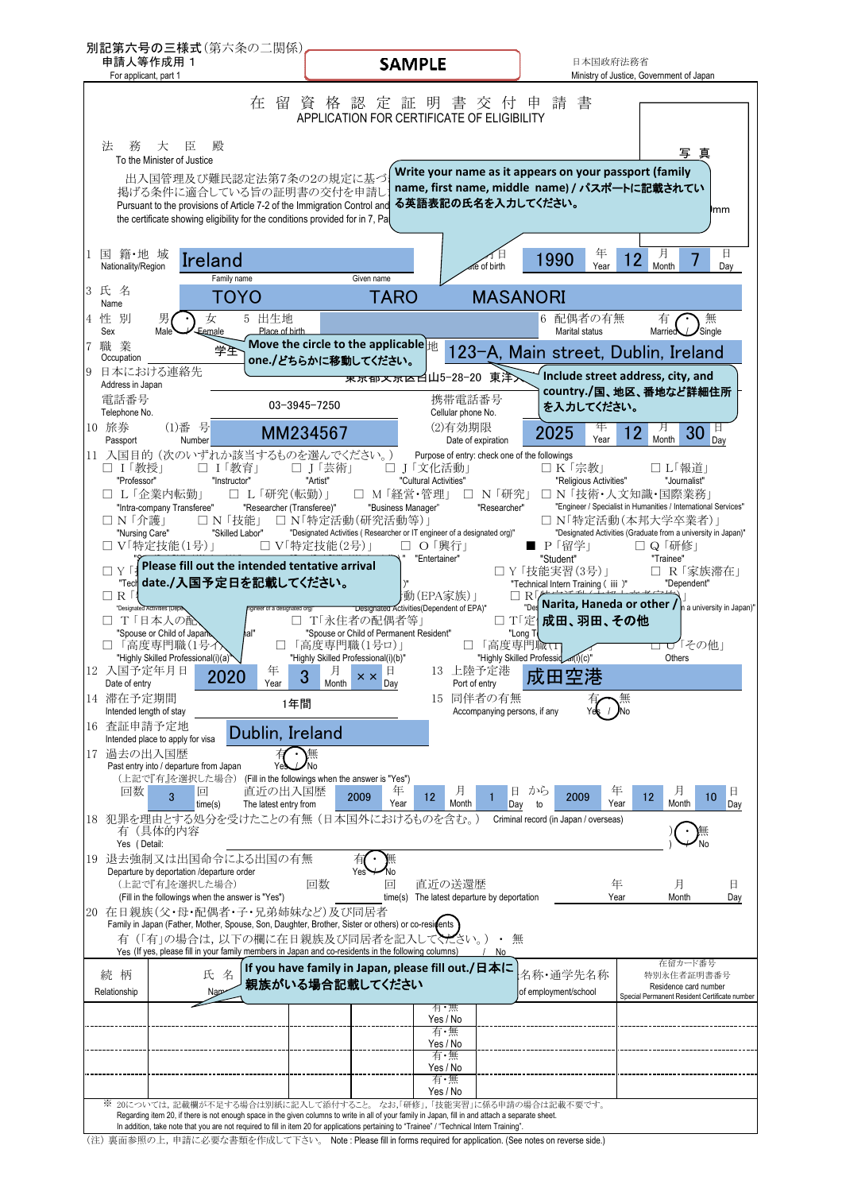| 申請人等作成用 1<br>For applicant, part 1                                                                                | 別記第六号の三様式(第六条の二関係)                                                                                                                                                                                                                                                                 | <b>SAMPLE</b>                                                                                                                                                                     |                                                                           | 日本国政府法務省                                                                                                | Ministry of Justice, Government of Japan                                                                                                                              |
|-------------------------------------------------------------------------------------------------------------------|------------------------------------------------------------------------------------------------------------------------------------------------------------------------------------------------------------------------------------------------------------------------------------|-----------------------------------------------------------------------------------------------------------------------------------------------------------------------------------|---------------------------------------------------------------------------|---------------------------------------------------------------------------------------------------------|-----------------------------------------------------------------------------------------------------------------------------------------------------------------------|
|                                                                                                                   | 在<br>留                                                                                                                                                                                                                                                                             | 資 格 認 定 証 明 書 交 付<br>APPLICATION FOR CERTIFICATE OF ELIGIBILITY                                                                                                                   | 申                                                                         | 書<br>請                                                                                                  |                                                                                                                                                                       |
| 法<br>務<br>臣<br>大                                                                                                  | 殿                                                                                                                                                                                                                                                                                  |                                                                                                                                                                                   |                                                                           |                                                                                                         | 写<br>真                                                                                                                                                                |
| To the Minister of Justice                                                                                        | 出入国管理及び難民認定法第7条の2の規定に基づ<br>掲げる条件に適合している旨の証明書の交付を申請し<br>Pursuant to the provisions of Article 7-2 of the Immigration Control and<br>the certificate showing eligibility for the conditions provided for in 7, Pal                                                                   |                                                                                                                                                                                   | る英語表記の氏名を入力してください。                                                        | Write your name as it appears on your passport (family<br>name, first name, middle name) / パスポートに記載されてい | )mm                                                                                                                                                                   |
| 1 国 籍・地 域<br>Nationality/Region                                                                                   | Ireland                                                                                                                                                                                                                                                                            |                                                                                                                                                                                   | ife of birth                                                              | 12<br>1990<br>Year                                                                                      | 月<br>日<br>Month<br>Day                                                                                                                                                |
| 3 氏 名                                                                                                             | Family name<br>ΤΟΥΟ                                                                                                                                                                                                                                                                | Given name<br><b>TARO</b>                                                                                                                                                         | <b>MASANORI</b>                                                           |                                                                                                         |                                                                                                                                                                       |
| Name<br>4 性 別                                                                                                     | 5 出生地<br>女                                                                                                                                                                                                                                                                         |                                                                                                                                                                                   |                                                                           | 6 配偶者の有無                                                                                                | 無<br>有                                                                                                                                                                |
| Sex<br>Male<br>職業                                                                                                 | Place of birth<br>Eemale<br>学生                                                                                                                                                                                                                                                     | Move the circle to the applicable $\frac{1}{ H }$                                                                                                                                 |                                                                           | Marital status<br>123-A, Main street, Dublin, Ireland                                                   | Single<br>Married                                                                                                                                                     |
| Occupation<br>9 日本における連絡先                                                                                         |                                                                                                                                                                                                                                                                                    | one./どちらかに移動してください。<br>東京郁文京区白山5-28-20 東洋入                                                                                                                                        |                                                                           | Include street address, city, and                                                                       |                                                                                                                                                                       |
| Address in Japan<br>電話番号<br>Telephone No.                                                                         | 03-3945-7250                                                                                                                                                                                                                                                                       |                                                                                                                                                                                   | 携帯電話番号<br>Cellular phone No.                                              | を入力してください。                                                                                              | country./国、地区、番地など詳細住所                                                                                                                                                |
| 10 旅券<br>(1)番号<br>Passport<br>Number                                                                              | MM234567                                                                                                                                                                                                                                                                           |                                                                                                                                                                                   | (2)有効期限<br>Date of expiration                                             | 年<br>2025<br>Year                                                                                       | 月<br>12<br>30<br>Month<br>Day                                                                                                                                         |
| □ Ⅰ「教授」<br>"Professor"<br>□ L「企業内転勤」<br>"Intra-company Transferee"<br>□ N 「介護」<br>"Nursing Care"<br>□ V「特定技能(1号)」 | 11 入国目的 (次のいずれか該当するものを選んでください。)<br>□ Ⅰ「教育」<br>□ J「芸術」<br>"Artist"<br>"Instructor"<br>□ L「研究(転勤)」<br>"Researcher (Transferee)"<br>□ N 「技能」<br>"Skilled Labor"<br>□ Ⅴ「特定技能(2号)」                                                                                                      | □ Ⅰ「文化活動」<br>"Cultural Activities"<br>□ M「経営・管理」<br>"Business Manager"<br>□ N「特定活動(研究活動等)」<br>"Designated Activities (Researcher or IT engineer of a designated org)"<br>□ O 「興行」 | Purpose of entry: check one of the followings<br>□ N 「研究」<br>"Researcher" | □ K「宗教」<br>"Religious Activities"<br>□ N 「技術・人文知識・国際業務」<br>□ N「特定活動(本邦大学卒業者)」<br>■ P「留学」                | □ L「報道」<br>"Journalist"<br>"Engineer / Specialist in Humanities / International Services"<br>"Designated Activities (Graduate from a university in Japan)"<br>□ Q  研修 |
| ПҮГ<br>$\Box$ R $\Box$<br>"Designated Activities (Depe<br>□ T「日本人の配<br>"Spouse or Child of Japan<br>「高度専門職(1号イ    | Please fill out the intended tentative arrival<br>"Tech date./入国予定日を記載してください。<br>ngineer of a designated org)<br>hal"                                                                                                                                                              | "Entertainer"<br> 動(EPA家族) <br>Designated Activities (Dependent of EPA)"<br>□ T「永住者の配偶者等」<br>"Spouse or Child of Permanent Resident"<br>□「高度専門職(1号ロ)」                             | $\Box$ R $\overline{P}$<br>"Long T<br>□「高度専門職⊤                            | "Student"<br>□ Y 「技能実習(3号)」<br>"Technical Intern Training (iii)"<br>□ T「定   成田、羽田、その他                   | "Trainee"<br>□ R  家族滞在 <br>"Dependent"<br>$\frac{1}{\log}$ Narita, Haneda or other / $\frac{1}{n}$ a university in Japan)"<br>□ ○「その他」                                |
| "Highly Skilled Professional(i)(a)"<br>12 入国予定年月日<br>Date of entry                                                | 年<br>2020<br>o<br>Year                                                                                                                                                                                                                                                             | "Highly Skilled Professional(i)(b)"<br>月<br>$x \times$<br>Month<br>Day                                                                                                            | "Highly Skilled Professid an(I)(c)"<br>13 上陸予定港<br>Port of entry          | 成田空港                                                                                                    | Others                                                                                                                                                                |
| 14 滞在予定期間<br>Intended length of stay                                                                              | 1年間                                                                                                                                                                                                                                                                                |                                                                                                                                                                                   | 15 同伴者の有無<br>Accompanying persons, if any                                 |                                                                                                         |                                                                                                                                                                       |
| 查証申請予定地<br>16<br>Intended place to apply for visa                                                                 | Dublin, Ireland                                                                                                                                                                                                                                                                    |                                                                                                                                                                                   |                                                                           |                                                                                                         |                                                                                                                                                                       |
| 17 過去の出入国歴<br>Past entry into / departure from Japan<br>回数<br>3                                                   | 無<br>(上記で『有』を選択した場合) (Fill in the followings when the answer is "Yes")<br>直近の出入国歴<br>回<br>time(s)<br>The latest entry from                                                                                                                                                         | 年<br>2009<br>12<br>Year                                                                                                                                                           | 且<br>月<br>Month<br>Day                                                    | 年<br>から<br>2009<br>Year<br>to                                                                           | 月<br>日<br>12<br>10<br>Month<br>Day                                                                                                                                    |
| 有(具体的内容<br>Yes (Detail:                                                                                           | 18 犯罪を理由とする処分を受けたことの有無 (日本国外におけるものを含む。)                                                                                                                                                                                                                                            |                                                                                                                                                                                   |                                                                           | Criminal record (in Japan / overseas)                                                                   |                                                                                                                                                                       |
| Departure by deportation /departure order<br>(上記で『有』を選択した場合)                                                      | 19 退去強制又は出国命令による出国の有無<br>回数<br>(Fill in the followings when the answer is "Yes")                                                                                                                                                                                                   | 回<br>time(s)                                                                                                                                                                      | 直近の送還歴<br>The latest departure by deportation                             | 年<br>Year                                                                                               | 月<br>日<br>Month<br>Day                                                                                                                                                |
|                                                                                                                   | 20 在日親族(父・母・配偶者・子・兄弟姉妹など)及び同居者<br>Family in Japan (Father, Mother, Spouse, Son, Daughter, Brother, Sister or others) or co-residents<br>有(「有」の場合は、以下の欄に在日親族及び同居者を記入してください。)<br>Yes (If yes, please fill in your family members in Japan and co-residents in the following columns) |                                                                                                                                                                                   | 無<br>No.                                                                  |                                                                                                         | 在留カード番号                                                                                                                                                               |
| 続柄<br>Relationship                                                                                                | 氏 名<br>Nap                                                                                                                                                                                                                                                                         | If you have family in Japan, please fill out./日本に<br>親族がいる場合記載してください                                                                                                              | 有・無                                                                       | 名称·通学先名称<br>of employment/school                                                                        | 特別永住者証明書番号<br>Residence card number<br>Special Permanent Resident Certificate number                                                                                  |
|                                                                                                                   |                                                                                                                                                                                                                                                                                    |                                                                                                                                                                                   | Yes / No<br>有・無                                                           |                                                                                                         |                                                                                                                                                                       |
|                                                                                                                   |                                                                                                                                                                                                                                                                                    |                                                                                                                                                                                   |                                                                           |                                                                                                         |                                                                                                                                                                       |
|                                                                                                                   |                                                                                                                                                                                                                                                                                    |                                                                                                                                                                                   | Yes / No                                                                  |                                                                                                         |                                                                                                                                                                       |
|                                                                                                                   |                                                                                                                                                                                                                                                                                    | Yes / No<br>有・無                                                                                                                                                                   | 有・無                                                                       |                                                                                                         |                                                                                                                                                                       |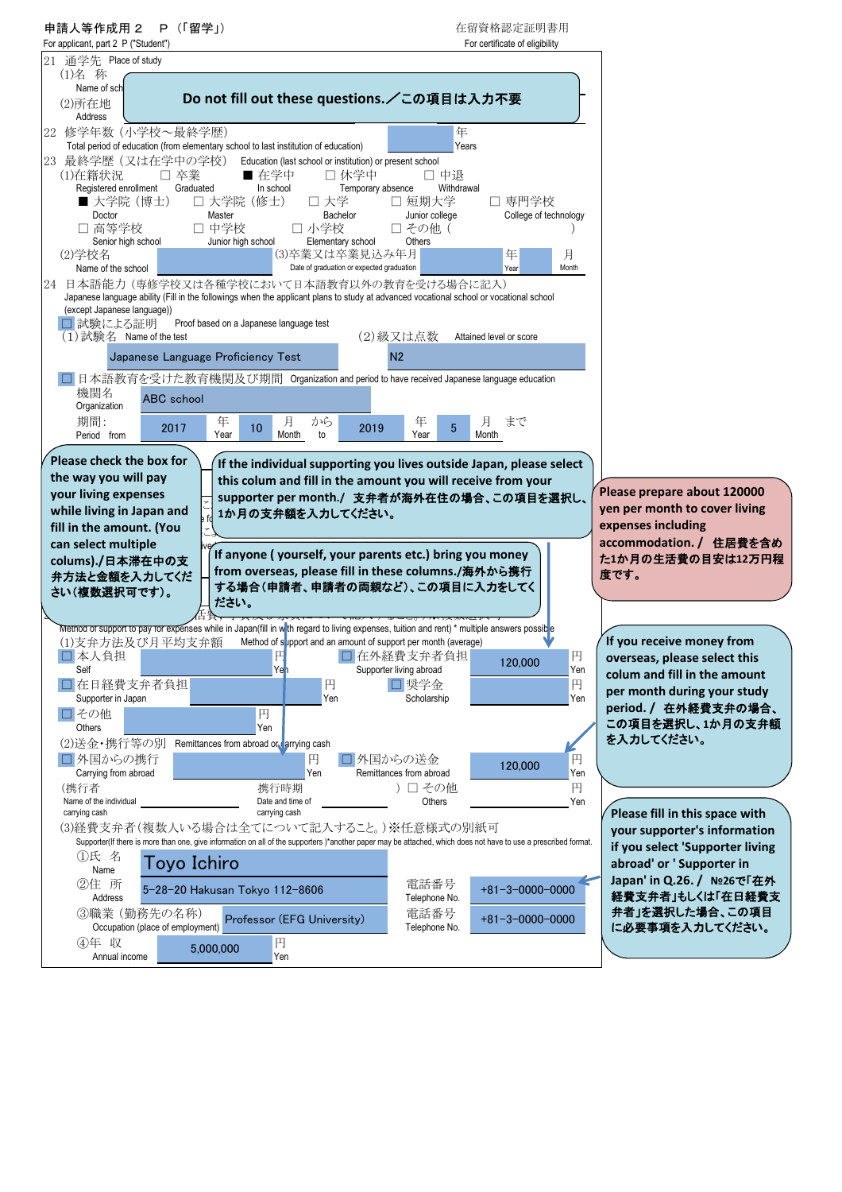| 申請人等作成用 2<br>P(「留学」)                                                                                                                                                                                       | 在留資格認定証明書用                                                                          |
|------------------------------------------------------------------------------------------------------------------------------------------------------------------------------------------------------------|-------------------------------------------------------------------------------------|
| For applicant, part 2 P ("Student")<br>21 通学先 Place of study                                                                                                                                               | For certificate of eligibility                                                      |
| (1)名 称                                                                                                                                                                                                     |                                                                                     |
| Name of sch<br>Do not fill out these questions. /この項目は入力不要<br>(2)所在地                                                                                                                                       |                                                                                     |
| Address                                                                                                                                                                                                    |                                                                                     |
| 22 修学年数 (小学校~最終学歴)                                                                                                                                                                                         | 年<br>Years                                                                          |
| Total period of education (from elementary school to last institution of education)<br>23 最終学歴 (又は在学中の学校)<br>Education (last school or institution) or present school                                      |                                                                                     |
| ■ 在学中<br>□ 休学中<br>(1)在籍状況<br>□ 卒業                                                                                                                                                                          | □ 中退                                                                                |
| Registered enrollment<br>Graduated<br>In school<br>Temporary absence<br>口 大学院 (修士)<br>□ 短期大学<br>■ 大学院(博士)<br>口 大学                                                                                          | Withdrawal<br>□ 専門学校                                                                |
| Bachelor<br>Doctor<br>Master<br>Junior college                                                                                                                                                             | College of technology                                                               |
| □ 高等学校<br>□ 中学校<br>□ 小学校<br>□ その他 (<br>Senior high school<br>Junior high school<br>Elementary school<br>Others                                                                                             |                                                                                     |
| (3)卒業又は卒業見込み年月<br>(2)学校名<br>Date of graduation or expected graduation<br>Name of the school                                                                                                                | 年<br>月<br>Month<br>Year                                                             |
| 24 日本語能力 (専修学校又は各種学校において日本語教育以外の教育を受ける場合に記入)                                                                                                                                                               |                                                                                     |
| Japanese language ability (Fill in the followings when the applicant plans to study at advanced vocational school or vocational school<br>(except Japanese language))                                      |                                                                                     |
| □ 試験による証明<br>Proof based on a Japanese language test                                                                                                                                                       |                                                                                     |
| (2)級又は点数<br>$(1)$ 試験名 Name of the test                                                                                                                                                                     | Attained level or score                                                             |
| N <sub>2</sub><br>Japanese Language Proficiency Test                                                                                                                                                       |                                                                                     |
| □ 日本語教育を受けた教育機関及び期間 Organization and period to have received Japanese language education<br>機関名                                                                                                            |                                                                                     |
| <b>ABC</b> school<br>Organization                                                                                                                                                                          |                                                                                     |
| 期間:<br>年<br>月<br>から<br>年<br>10<br>2019<br>2017<br>Year<br>Year<br>Period from<br>Month<br>to                                                                                                               | 月<br>まで<br>$5\phantom{.0}$<br>Month                                                 |
| Please check the box for                                                                                                                                                                                   |                                                                                     |
| If the individual supporting you lives outside Japan, please select<br>the way you will pay<br>this colum and fill in the amount you will receive from your                                                |                                                                                     |
| your living expenses<br>supporter per month./ 支弁者が海外在住の場合、この項目を選択し、                                                                                                                                        | Please prepare about 120000                                                         |
| while living in Japan and<br>1か月の支弁額を入力してください。                                                                                                                                                             | yen per month to cover living<br>expenses including                                 |
| fill in the amount. (You<br>can select multiple                                                                                                                                                            | accommodation. / 住居費を含め                                                             |
| If anyone (yourself, your parents etc.) bring you money<br>colums)./日本滞在中の支                                                                                                                                | た1か月の生活費の目安は12万円程                                                                   |
| from overseas, please fill in these columns./海外から携行<br>弁方法と金額を入力してくだ<br>する場合(申請者、申請者の両親など)、この項目に入力をしてく                                                                                                     | 度です。                                                                                |
| さい(複数選択可です)。<br>ださい。                                                                                                                                                                                       |                                                                                     |
| Method of support to pay for expenses while in Japan(fill in w th regard to living expenses, tuition and rent) * multiple answers possibe                                                                  |                                                                                     |
| (1)支弁方法及び月平均支弁額<br>Method of support and an amount of support per month (average)                                                                                                                          | If you receive money from                                                           |
| □ 在外経費支弁者負担<br>□本人負担<br>Ye <mark>1</mark><br>Self<br>Supporter living abroad                                                                                                                               | 円<br>overseas, please select this<br>120,000<br>Yen<br>colum and fill in the amount |
| 円<br>口 奨学金<br>□在日経費支弁者負担                                                                                                                                                                                   | 円<br>per month during your study                                                    |
| Yen<br>Scholarship<br>Supporter in Japan<br>□その他<br>円                                                                                                                                                      | Yen<br>period. / 在外経費支弁の場合、                                                         |
| Others<br>Yen                                                                                                                                                                                              | この項目を選択し、1か月の支弁額                                                                    |
| (2)送金・携行等の別<br>Remittances from abroad or arrying cash<br>□外国からの送金                                                                                                                                         | を入力してください。                                                                          |
| □外国からの携行<br>円<br>Carrying from abroad<br>Yen<br>Remittances from abroad                                                                                                                                    | 円<br>120,000<br>Yen                                                                 |
| ) 口 その他<br>(携行者<br>携行時期<br>Name of the individual<br>Date and time of                                                                                                                                      | 円<br>Yen<br>Others                                                                  |
| carrying cash<br>carrying cash                                                                                                                                                                             | Please fill in this space with                                                      |
| (3)経費支弁者(複数人いる場合は全てについて記入すること。)※任意様式の別紙可<br>Supporter(If there is more than one, give information on all of the supporters)*another paper may be attached, which does not have to use a prescribed format. | your supporter's information                                                        |
| ①氏 名<br>Toyo Ichiro                                                                                                                                                                                        | if you select 'Supporter living<br>abroad' or ' Supporter in                        |
| Name<br>②住 所<br>電話番号                                                                                                                                                                                       | Japan' in Q.26. / Nº26で「在外                                                          |
| 5-28-20 Hakusan Tokyo 112-8606<br>Telephone No.<br>Address                                                                                                                                                 |                                                                                     |
| 3職業 (勤務先の名称)<br>電話番号                                                                                                                                                                                       | $+81-3-0000-0000$<br>経費支弁者」もしくは「在日経費支                                               |
| Professor (EFG University)<br>Occupation (place of employment)<br>Telephone No.                                                                                                                            | 弁者」を選択した場合、この項目<br>$+81 - 3 - 0000 - 0000$<br>に必要事項を入力してください。                       |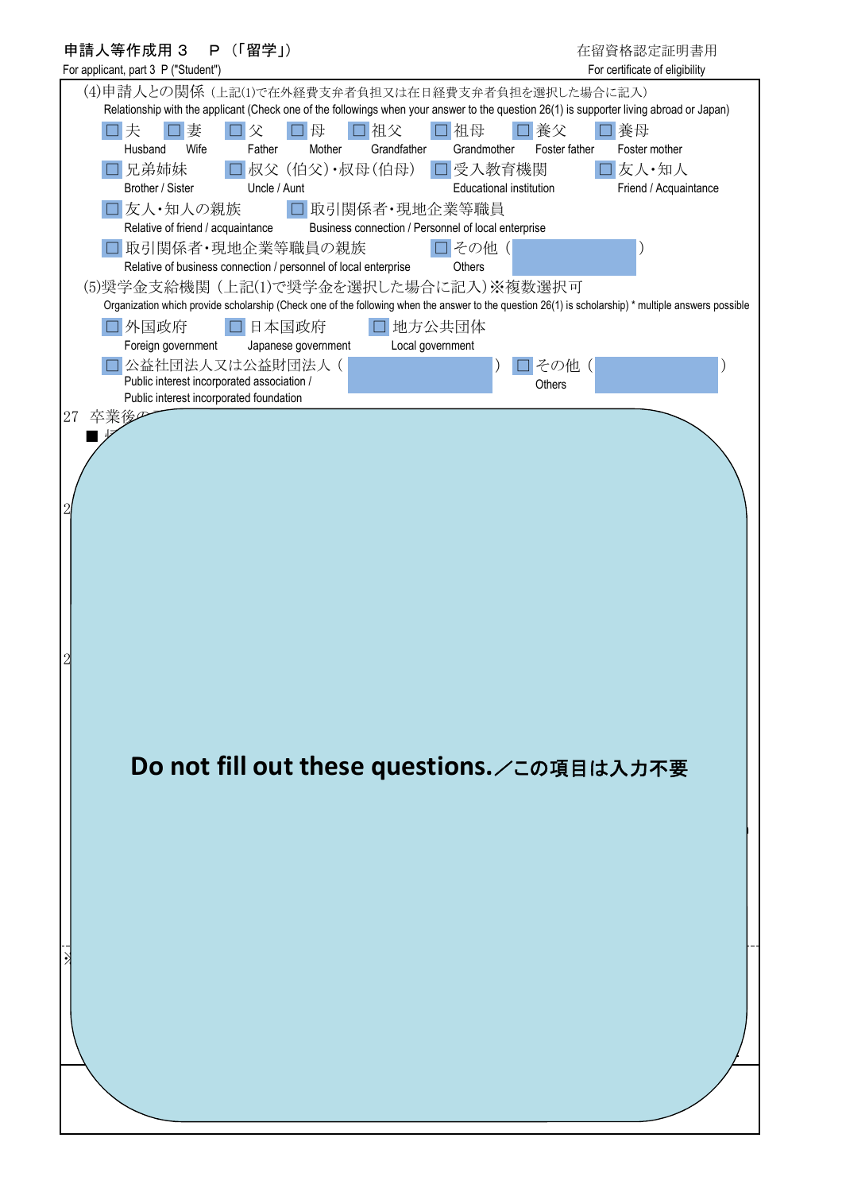| 申請人等作成用 3<br>P (「留学」)                                                                                                                                                                         | 在留資格認定証明書用                                 |
|-----------------------------------------------------------------------------------------------------------------------------------------------------------------------------------------------|--------------------------------------------|
| For applicant, part 3 P ("Student")                                                                                                                                                           | For certificate of eligibility             |
| (4)申請人との関係 (上記(1)で在外経費支弁者負担又は在日経費支弁者負担を選択した場合に記入)<br>Relationship with the applicant (Check one of the followings when your answer to the question 26(1) is supporter living abroad or Japan) |                                            |
| 口祖父<br>口祖母<br>妻<br>母<br>口夫<br>父<br>$\Box$<br>Wife<br>Father<br>Grandfather<br>Husband<br>Mother<br>Grandmother                                                                                | 養父<br>養母<br>Foster father<br>Foster mother |
| □兄弟姉妹<br>□受入教育機関<br>コ叔父 (伯父)・叔母(伯母)                                                                                                                                                           | □友人·知人                                     |
| Uncle / Aunt<br>Brother / Sister<br>Educational institution                                                                                                                                   | Friend / Acquaintance                      |
| □友人・知人の親族<br>□ 取引関係者・現地企業等職員<br>Business connection / Personnel of local enterprise<br>Relative of friend / acquaintance                                                                      |                                            |
| コその他(<br>□ 取引関係者・現地企業等職員の親族                                                                                                                                                                   |                                            |
| Relative of business connection / personnel of local enterprise<br>Others<br>(5)奨学金支給機関 (上記(1)で奨学金を選択した場合に記入)※複数選択可                                                                           |                                            |
| Organization which provide scholarship (Check one of the following when the answer to the question 26(1) is scholarship) * multiple answers possible                                          |                                            |
| 外国政府<br>日本国政府<br>口地方公共団体                                                                                                                                                                      |                                            |
| Local government<br>Foreign government<br>Japanese government                                                                                                                                 |                                            |
| 公益社団法人又は公益財団法人(                                                                                                                                                                               | その他 (                                      |
| Public interest incorporated association /<br>Public interest incorporated foundation                                                                                                         | Others                                     |
| 27<br>卒業                                                                                                                                                                                      |                                            |
|                                                                                                                                                                                               |                                            |
|                                                                                                                                                                                               |                                            |
|                                                                                                                                                                                               |                                            |
|                                                                                                                                                                                               |                                            |
|                                                                                                                                                                                               |                                            |
|                                                                                                                                                                                               |                                            |
|                                                                                                                                                                                               |                                            |
|                                                                                                                                                                                               |                                            |
|                                                                                                                                                                                               |                                            |
|                                                                                                                                                                                               |                                            |
|                                                                                                                                                                                               |                                            |
|                                                                                                                                                                                               |                                            |
|                                                                                                                                                                                               |                                            |
|                                                                                                                                                                                               |                                            |
|                                                                                                                                                                                               |                                            |
| Do not fill out these questions. /この項目は入力不要                                                                                                                                                   |                                            |
|                                                                                                                                                                                               |                                            |
|                                                                                                                                                                                               |                                            |
|                                                                                                                                                                                               |                                            |
|                                                                                                                                                                                               |                                            |
|                                                                                                                                                                                               |                                            |
|                                                                                                                                                                                               |                                            |
|                                                                                                                                                                                               |                                            |
|                                                                                                                                                                                               |                                            |
|                                                                                                                                                                                               |                                            |
|                                                                                                                                                                                               |                                            |
|                                                                                                                                                                                               |                                            |
|                                                                                                                                                                                               |                                            |
|                                                                                                                                                                                               |                                            |
|                                                                                                                                                                                               |                                            |
|                                                                                                                                                                                               |                                            |
|                                                                                                                                                                                               |                                            |
|                                                                                                                                                                                               |                                            |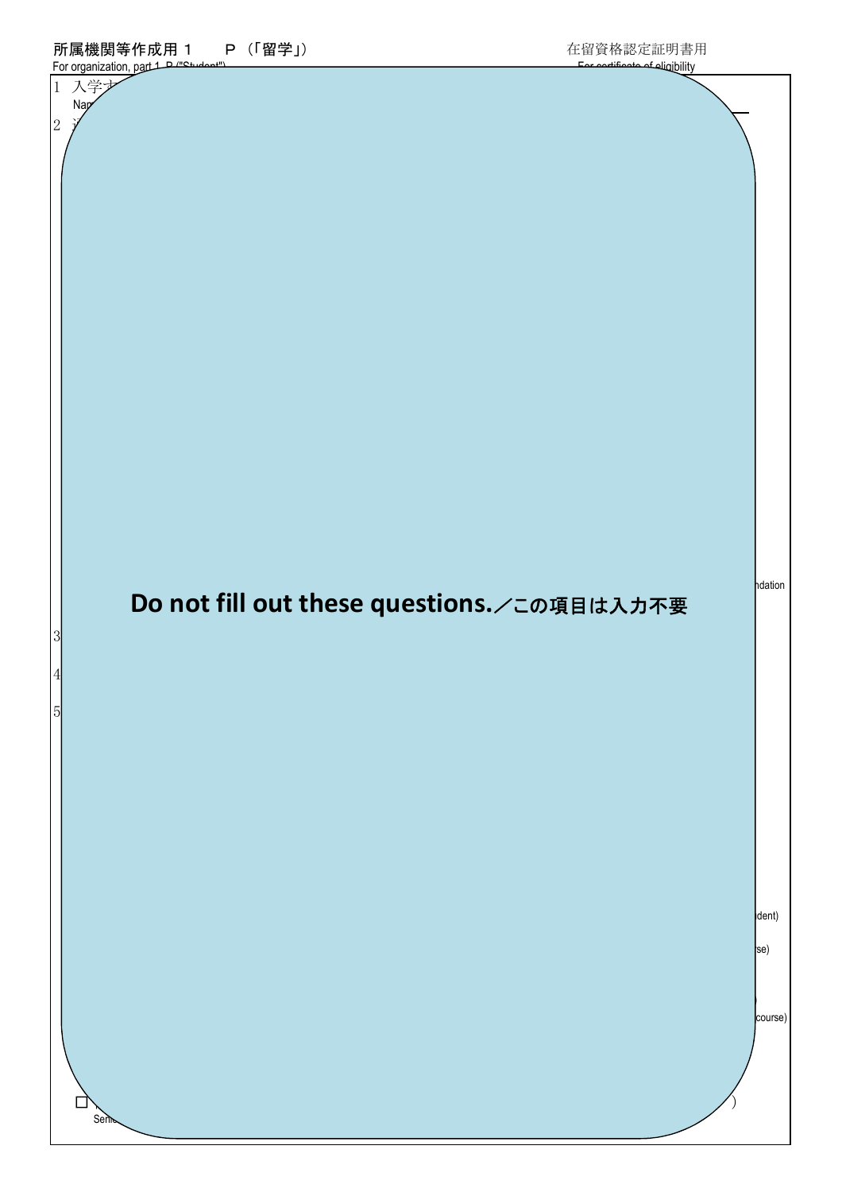